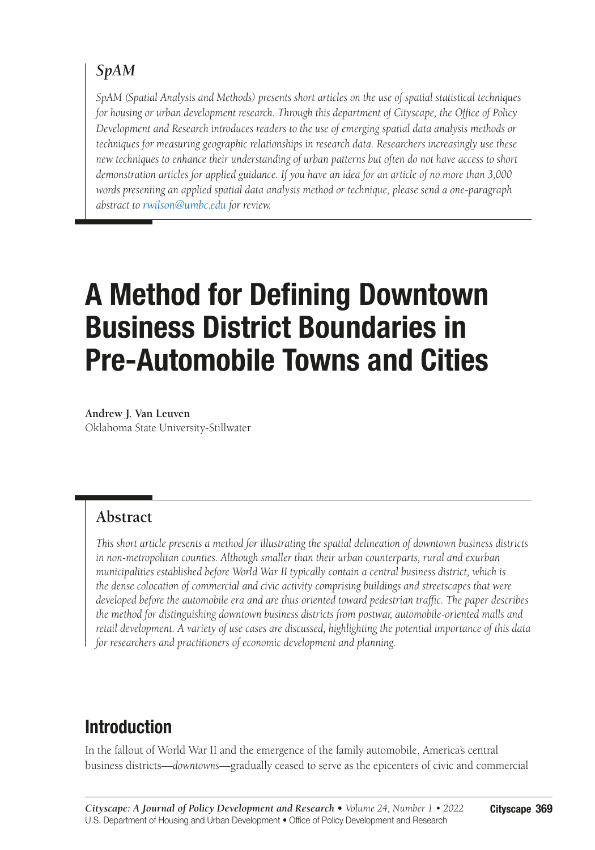# *SpAM*

*SpAM (Spatial Analysis and Methods) presents short articles on the use of spatial statistical techniques for housing or urban development research. Through this department of Cityscape, the Office of Policy Development and Research introduces readers to the use of emerging spatial data analysis methods or techniques for measuring geographic relationships in research data. Researchers increasingly use these new techniques to enhance their understanding of urban patterns but often do not have access to short demonstration articles for applied guidance. If you have an idea for an article of no more than 3,000 words presenting an applied spatial data analysis method or technique, please send a one-paragraph abstract to [rwilson@umbc.edu](mailto:rwilson@umbc.edu?subject=) for review.*

# A Method for Defining Downtown Business District Boundaries in Pre-Automobile Towns and Cities

**Andrew J. Van Leuven** Oklahoma State University-Stillwater

### **Abstract**

*This short article presents a method for illustrating the spatial delineation of downtown business districts in non-metropolitan counties. Although smaller than their urban counterparts, rural and exurban municipalities established before World War II typically contain a central business district, which is the dense colocation of commercial and civic activity comprising buildings and streetscapes that were developed before the automobile era and are thus oriented toward pedestrian traffic. The paper describes the method for distinguishing downtown business districts from postwar, automobile-oriented malls and retail development. A variety of use cases are discussed, highlighting the potential importance of this data for researchers and practitioners of economic development and planning.*

# Introduction

In the fallout of World War II and the emergence of the family automobile, America's central business districts—*downtowns*—gradually ceased to serve as the epicenters of civic and commercial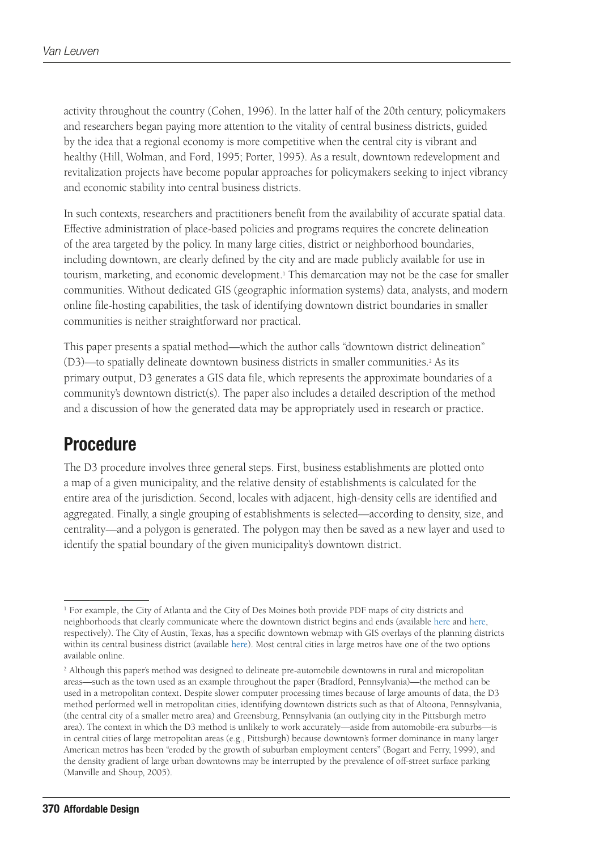activity throughout the country (Cohen, 1996). In the latter half of the 20th century, policymakers and researchers began paying more attention to the vitality of central business districts, guided by the idea that a regional economy is more competitive when the central city is vibrant and healthy (Hill, Wolman, and Ford, 1995; Porter, 1995). As a result, downtown redevelopment and revitalization projects have become popular approaches for policymakers seeking to inject vibrancy and economic stability into central business districts.

In such contexts, researchers and practitioners benefit from the availability of accurate spatial data. Effective administration of place-based policies and programs requires the concrete delineation of the area targeted by the policy. In many large cities, district or neighborhood boundaries, including downtown, are clearly defined by the city and are made publicly available for use in tourism, marketing, and economic development.<sup>1</sup> This demarcation may not be the case for smaller communities. Without dedicated GIS (geographic information systems) data, analysts, and modern online file-hosting capabilities, the task of identifying downtown district boundaries in smaller communities is neither straightforward nor practical.

This paper presents a spatial method—which the author calls "downtown district delineation" (D3)—to spatially delineate downtown business districts in smaller communities.2 As its primary output, D3 generates a GIS data file, which represents the approximate boundaries of a community's downtown district(s). The paper also includes a detailed description of the method and a discussion of how the generated data may be appropriately used in research or practice.

# Procedure

The D3 procedure involves three general steps. First, business establishments are plotted onto a map of a given municipality, and the relative density of establishments is calculated for the entire area of the jurisdiction. Second, locales with adjacent, high-density cells are identified and aggregated. Finally, a single grouping of establishments is selected—according to density, size, and centrality—and a polygon is generated. The polygon may then be saved as a new layer and used to identify the spatial boundary of the given municipality's downtown district.

<sup>1</sup> For example, the City of Atlanta and the City of Des Moines both provide PDF maps of city districts and neighborhoods that clearly communicate where the downtown district begins and ends (available [here](https://gis.atlantaga.gov/docs/Neighborhoods.pdf) and [here](https://maps.dsm.city/docs/maps/NeighborhoodsSmall.pdf), respectively). The City of Austin, Texas, has a specific downtown webmap with GIS overlays of the planning districts within its central business district (available [here\)](https://www.austintexas.gov/GIS/DowntownWebMap/). Most central cities in large metros have one of the two options available online.

<sup>&</sup>lt;sup>2</sup> Although this paper's method was designed to delineate pre-automobile downtowns in rural and micropolitan areas—such as the town used as an example throughout the paper (Bradford, Pennsylvania)—the method can be used in a metropolitan context. Despite slower computer processing times because of large amounts of data, the D3 method performed well in metropolitan cities, identifying downtown districts such as that of Altoona, Pennsylvania, (the central city of a smaller metro area) and Greensburg, Pennsylvania (an outlying city in the Pittsburgh metro area). The context in which the D3 method is unlikely to work accurately—aside from automobile-era suburbs—is in central cities of large metropolitan areas (e.g., Pittsburgh) because downtown's former dominance in many larger American metros has been "eroded by the growth of suburban employment centers" (Bogart and Ferry, 1999), and the density gradient of large urban downtowns may be interrupted by the prevalence of off-street surface parking (Manville and Shoup, 2005).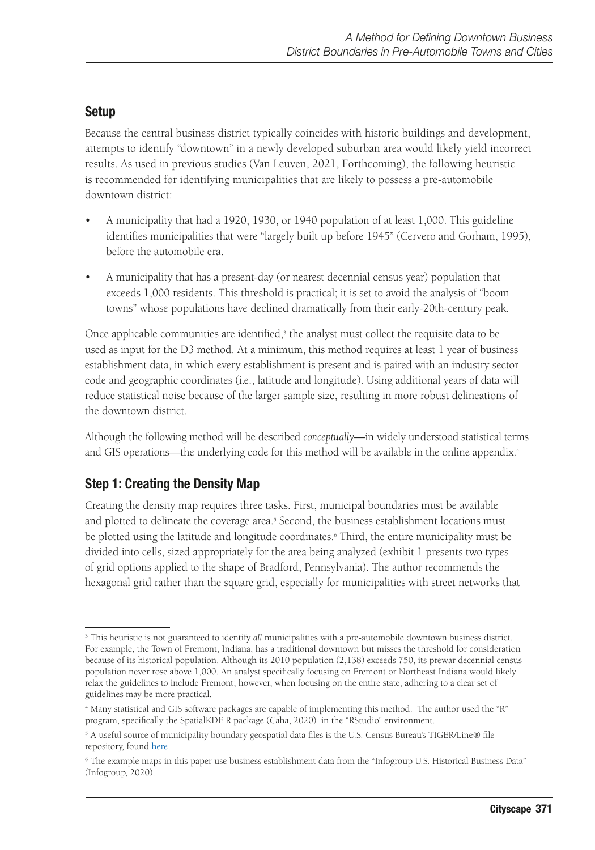### Setup

Because the central business district typically coincides with historic buildings and development, attempts to identify "downtown" in a newly developed suburban area would likely yield incorrect results. As used in previous studies (Van Leuven, 2021, Forthcoming), the following heuristic is recommended for identifying municipalities that are likely to possess a pre-automobile downtown district:

- A municipality that had a 1920, 1930, or 1940 population of at least 1,000. This guideline identifies municipalities that were "largely built up before 1945" (Cervero and Gorham, 1995), before the automobile era.
- A municipality that has a present-day (or nearest decennial census year) population that exceeds 1,000 residents. This threshold is practical; it is set to avoid the analysis of "boom towns" whose populations have declined dramatically from their early-20th-century peak.

Once applicable communities are identified, $\frac{3}{2}$  the analyst must collect the requisite data to be used as input for the D3 method. At a minimum, this method requires at least 1 year of business establishment data, in which every establishment is present and is paired with an industry sector code and geographic coordinates (i.e., latitude and longitude). Using additional years of data will reduce statistical noise because of the larger sample size, resulting in more robust delineations of the downtown district.

Although the following method will be described *conceptually*—in widely understood statistical terms and GIS operations—the underlying code for this method will be available in the online appendix.<sup>4</sup>

### Step 1: Creating the Density Map

Creating the density map requires three tasks. First, municipal boundaries must be available and plotted to delineate the coverage area.<sup>5</sup> Second, the business establishment locations must be plotted using the latitude and longitude coordinates.<sup>6</sup> Third, the entire municipality must be divided into cells, sized appropriately for the area being analyzed (exhibit 1 presents two types of grid options applied to the shape of Bradford, Pennsylvania). The author recommends the hexagonal grid rather than the square grid, especially for municipalities with street networks that

<sup>3</sup> This heuristic is not guaranteed to identify *all* municipalities with a pre-automobile downtown business district. For example, the Town of Fremont, Indiana, has a traditional downtown but misses the threshold for consideration because of its historical population. Although its 2010 population (2,138) exceeds 750, its prewar decennial census population never rose above 1,000. An analyst specifically focusing on Fremont or Northeast Indiana would likely relax the guidelines to include Fremont; however, when focusing on the entire state, adhering to a clear set of guidelines may be more practical.

<sup>4</sup> Many statistical and GIS software packages are capable of implementing this method. The author used the "R" program, specifically the SpatialKDE R package (Caha, 2020) in the "RStudio" environment.

<sup>&</sup>lt;sup>5</sup> A useful source of municipality boundary geospatial data files is the U.S. Census Bureau's TIGER/Line® file repository, found [here](https://www.census.gov/geographies/mapping-files/time-series/geo/tiger-line-file.html).

<sup>6</sup> The example maps in this paper use business establishment data from the "Infogroup U.S. Historical Business Data" (Infogroup, 2020).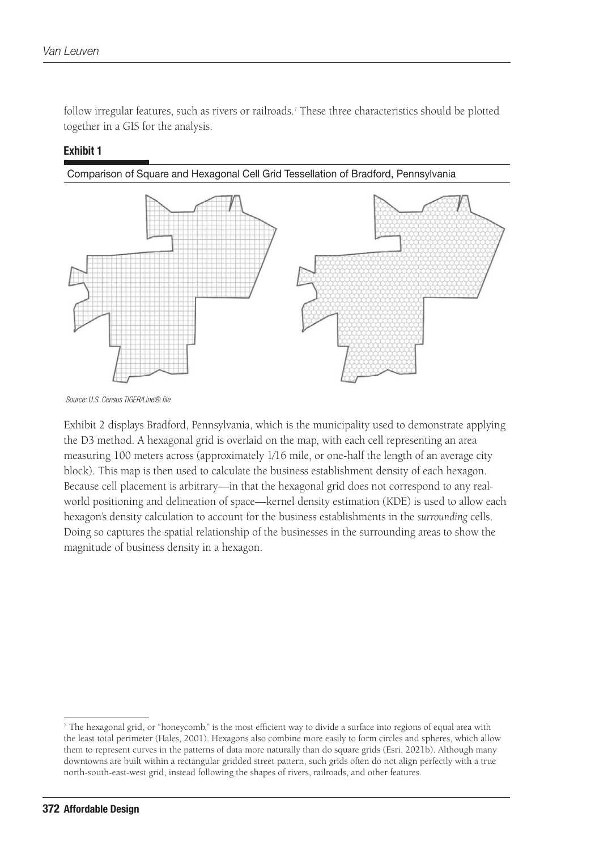follow irregular features, such as rivers or railroads.<sup>7</sup> These three characteristics should be plotted together in a GIS for the analysis.

#### Exhibit 1



 *Source: U.S. Census TIGER/Line® file*

Exhibit 2 displays Bradford, Pennsylvania, which is the municipality used to demonstrate applying the D3 method. A hexagonal grid is overlaid on the map, with each cell representing an area measuring 100 meters across (approximately 1⁄16 mile, or one-half the length of an average city block). This map is then used to calculate the business establishment density of each hexagon. Because cell placement is arbitrary—in that the hexagonal grid does not correspond to any realworld positioning and delineation of space—kernel density estimation (KDE) is used to allow each hexagon's density calculation to account for the business establishments in the *surrounding* cells. Doing so captures the spatial relationship of the businesses in the surrounding areas to show the magnitude of business density in a hexagon.

 $^7$  The hexagonal grid, or "honeycomb," is the most efficient way to divide a surface into regions of equal area with the least total perimeter (Hales, 2001). Hexagons also combine more easily to form circles and spheres, which allow them to represent curves in the patterns of data more naturally than do square grids (Esri, 2021b). Although many downtowns are built within a rectangular gridded street pattern, such grids often do not align perfectly with a true north-south-east-west grid, instead following the shapes of rivers, railroads, and other features.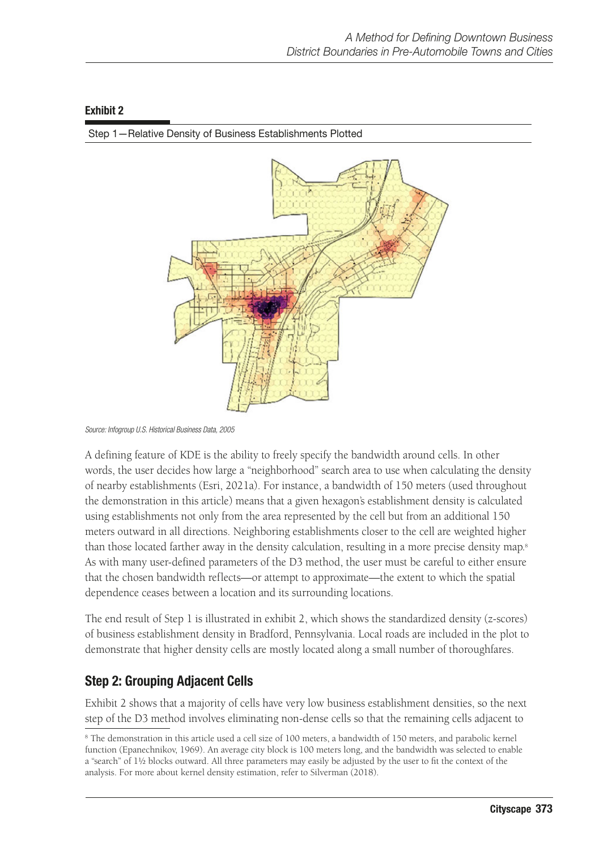#### Exhibit 2



Step 1—Relative Density of Business Establishments Plotted

A defining feature of KDE is the ability to freely specify the bandwidth around cells. In other words, the user decides how large a "neighborhood" search area to use when calculating the density of nearby establishments (Esri, 2021a). For instance, a bandwidth of 150 meters (used throughout the demonstration in this article) means that a given hexagon's establishment density is calculated using establishments not only from the area represented by the cell but from an additional 150 meters outward in all directions. Neighboring establishments closer to the cell are weighted higher than those located farther away in the density calculation, resulting in a more precise density map.<sup>8</sup> As with many user-defined parameters of the D3 method, the user must be careful to either ensure that the chosen bandwidth reflects—or attempt to approximate—the extent to which the spatial dependence ceases between a location and its surrounding locations.

The end result of Step 1 is illustrated in exhibit 2, which shows the standardized density (z-scores) of business establishment density in Bradford, Pennsylvania. Local roads are included in the plot to demonstrate that higher density cells are mostly located along a small number of thoroughfares.

### Step 2: Grouping Adjacent Cells

Exhibit 2 shows that a majority of cells have very low business establishment densities, so the next step of the D3 method involves eliminating non-dense cells so that the remaining cells adjacent to

*Source: Infogroup U.S. Historical Business Data, 2005*

<sup>8</sup> The demonstration in this article used a cell size of 100 meters, a bandwidth of 150 meters, and parabolic kernel function (Epanechnikov, 1969). An average city block is 100 meters long, and the bandwidth was selected to enable a "search" of 1½ blocks outward. All three parameters may easily be adjusted by the user to fit the context of the analysis. For more about kernel density estimation, refer to Silverman (2018).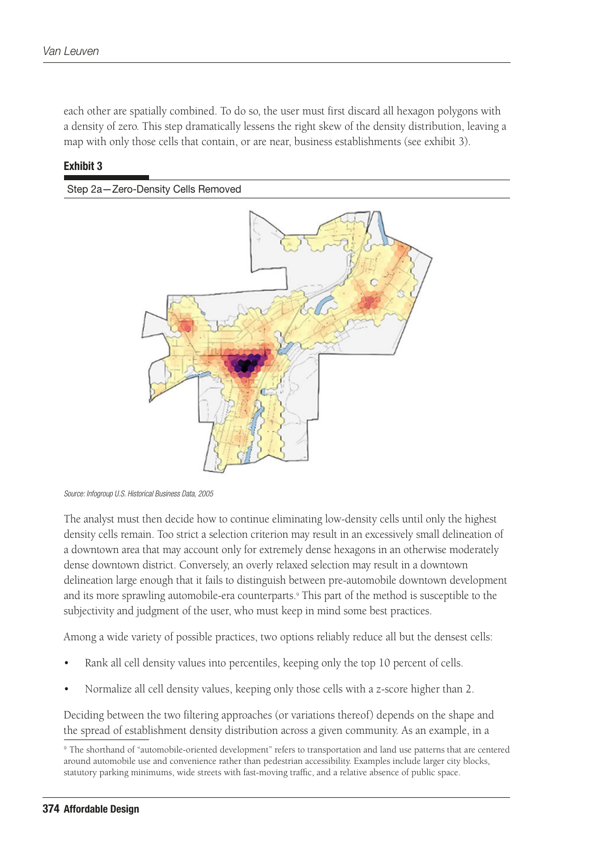each other are spatially combined. To do so, the user must first discard all hexagon polygons with a density of zero. This step dramatically lessens the right skew of the density distribution, leaving a map with only those cells that contain, or are near, business establishments (see exhibit 3).

#### Exhibit 3





*Source: Infogroup U.S. Historical Business Data, 2005*

The analyst must then decide how to continue eliminating low-density cells until only the highest density cells remain. Too strict a selection criterion may result in an excessively small delineation of a downtown area that may account only for extremely dense hexagons in an otherwise moderately dense downtown district. Conversely, an overly relaxed selection may result in a downtown delineation large enough that it fails to distinguish between pre-automobile downtown development and its more sprawling automobile-era counterparts.<sup>9</sup> This part of the method is susceptible to the subjectivity and judgment of the user, who must keep in mind some best practices.

Among a wide variety of possible practices, two options reliably reduce all but the densest cells:

- Rank all cell density values into percentiles, keeping only the top 10 percent of cells.
- Normalize all cell density values, keeping only those cells with a z-score higher than 2.

Deciding between the two filtering approaches (or variations thereof) depends on the shape and the spread of establishment density distribution across a given community. As an example, in a

<sup>9</sup> The shorthand of "automobile-oriented development" refers to transportation and land use patterns that are centered around automobile use and convenience rather than pedestrian accessibility. Examples include larger city blocks, statutory parking minimums, wide streets with fast-moving traffic, and a relative absence of public space.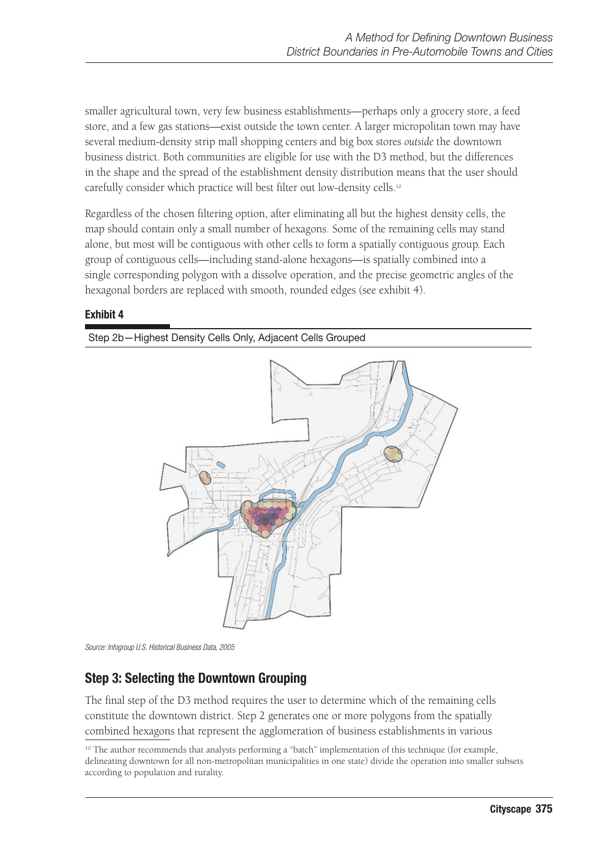smaller agricultural town, very few business establishments—perhaps only a grocery store, a feed store, and a few gas stations—exist outside the town center. A larger micropolitan town may have several medium-density strip mall shopping centers and big box stores *outside* the downtown business district. Both communities are eligible for use with the D3 method, but the differences in the shape and the spread of the establishment density distribution means that the user should carefully consider which practice will best filter out low-density cells.10

Regardless of the chosen filtering option, after eliminating all but the highest density cells, the map should contain only a small number of hexagons. Some of the remaining cells may stand alone, but most will be contiguous with other cells to form a spatially contiguous group. Each group of contiguous cells—including stand-alone hexagons—is spatially combined into a single corresponding polygon with a dissolve operation, and the precise geometric angles of the hexagonal borders are replaced with smooth, rounded edges (see exhibit 4).

#### Exhibit 4

Step 2b—Highest Density Cells Only, Adjacent Cells Grouped



*Source: Infogroup U.S. Historical Business Data, 2005*

#### Step 3: Selecting the Downtown Grouping

The final step of the D3 method requires the user to determine which of the remaining cells constitute the downtown district. Step 2 generates one or more polygons from the spatially combined hexagons that represent the agglomeration of business establishments in various

<sup>&</sup>lt;sup>10</sup> The author recommends that analysts performing a "batch" implementation of this technique (for example, delineating downtown for all non-metropolitan municipalities in one state) divide the operation into smaller subsets according to population and rurality.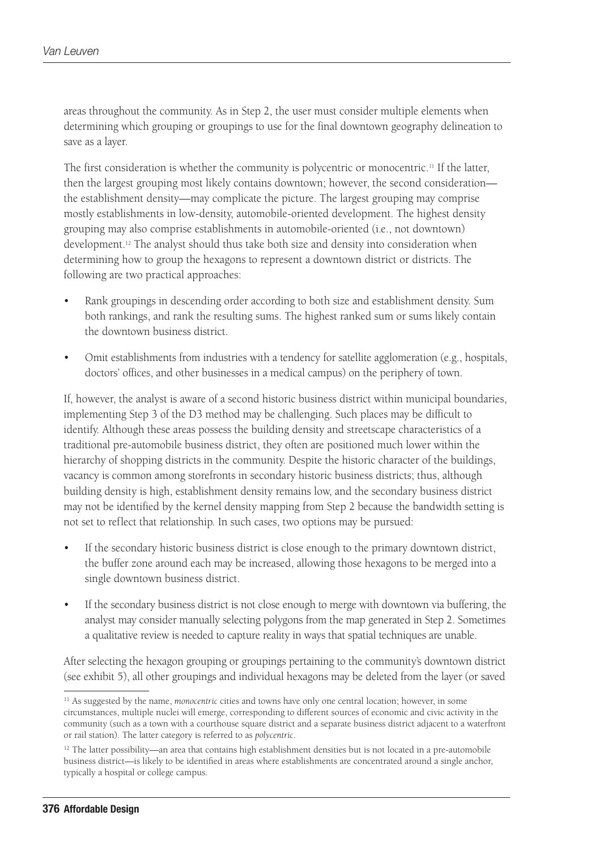areas throughout the community. As in Step 2, the user must consider multiple elements when determining which grouping or groupings to use for the final downtown geography delineation to save as a layer.

The first consideration is whether the community is polycentric or monocentric.<sup>11</sup> If the latter, then the largest grouping most likely contains downtown; however, the second consideration the establishment density—may complicate the picture. The largest grouping may comprise mostly establishments in low-density, automobile-oriented development. The highest density grouping may also comprise establishments in automobile-oriented (i.e., not downtown) development.12 The analyst should thus take both size and density into consideration when determining how to group the hexagons to represent a downtown district or districts. The following are two practical approaches:

- Rank groupings in descending order according to both size and establishment density. Sum both rankings, and rank the resulting sums. The highest ranked sum or sums likely contain the downtown business district.
- Omit establishments from industries with a tendency for satellite agglomeration (e.g., hospitals, doctors' offices, and other businesses in a medical campus) on the periphery of town.

If, however, the analyst is aware of a second historic business district within municipal boundaries, implementing Step 3 of the D3 method may be challenging. Such places may be difficult to identify. Although these areas possess the building density and streetscape characteristics of a traditional pre-automobile business district, they often are positioned much lower within the hierarchy of shopping districts in the community. Despite the historic character of the buildings, vacancy is common among storefronts in secondary historic business districts; thus, although building density is high, establishment density remains low, and the secondary business district may not be identified by the kernel density mapping from Step 2 because the bandwidth setting is not set to reflect that relationship. In such cases, two options may be pursued:

- If the secondary historic business district is close enough to the primary downtown district, the buffer zone around each may be increased, allowing those hexagons to be merged into a single downtown business district.
- If the secondary business district is not close enough to merge with downtown via buffering, the analyst may consider manually selecting polygons from the map generated in Step 2. Sometimes a qualitative review is needed to capture reality in ways that spatial techniques are unable.

After selecting the hexagon grouping or groupings pertaining to the community's downtown district (see exhibit 5), all other groupings and individual hexagons may be deleted from the layer (or saved

<sup>&</sup>lt;sup>11</sup> As suggested by the name, *monocentric* cities and towns have only one central location; however, in some circumstances, multiple nuclei will emerge, corresponding to different sources of economic and civic activity in the community (such as a town with a courthouse square district and a separate business district adjacent to a waterfront or rail station). The latter category is referred to as *polycentric*.

 $12$  The latter possibility—an area that contains high establishment densities but is not located in a pre-automobile business district—is likely to be identified in areas where establishments are concentrated around a single anchor, typically a hospital or college campus.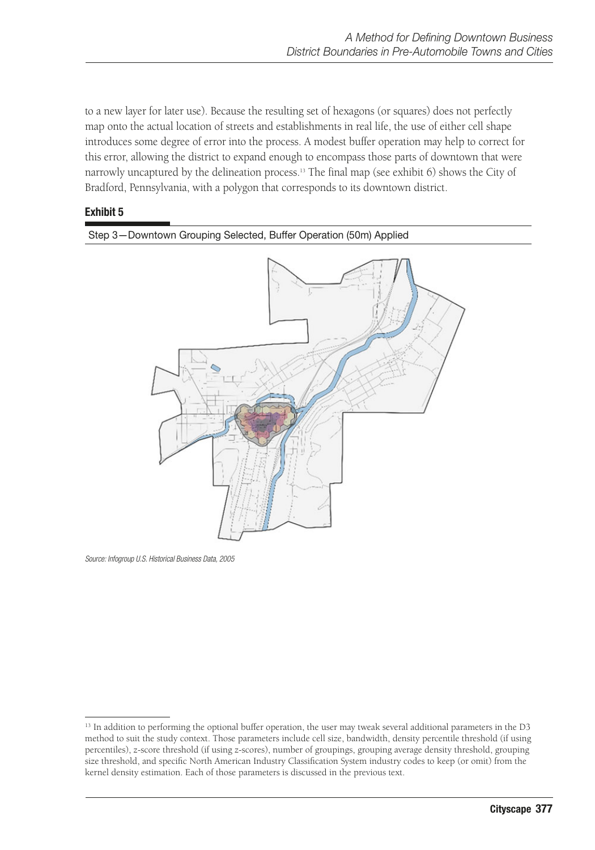to a new layer for later use). Because the resulting set of hexagons (or squares) does not perfectly map onto the actual location of streets and establishments in real life, the use of either cell shape introduces some degree of error into the process. A modest buffer operation may help to correct for this error, allowing the district to expand enough to encompass those parts of downtown that were narrowly uncaptured by the delineation process.13 The final map (see exhibit 6) shows the City of Bradford, Pennsylvania, with a polygon that corresponds to its downtown district.

#### Exhibit 5



*Source: Infogroup U.S. Historical Business Data, 2005*

<sup>&</sup>lt;sup>13</sup> In addition to performing the optional buffer operation, the user may tweak several additional parameters in the D3 method to suit the study context. Those parameters include cell size, bandwidth, density percentile threshold (if using percentiles), z-score threshold (if using z-scores), number of groupings, grouping average density threshold, grouping size threshold, and specific North American Industry Classification System industry codes to keep (or omit) from the kernel density estimation. Each of those parameters is discussed in the previous text.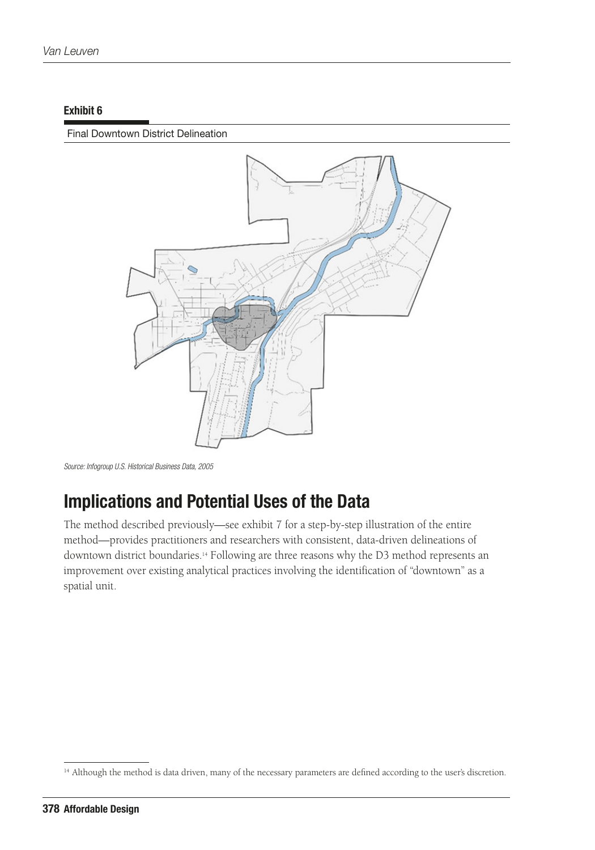#### Exhibit 6

#### Final Downtown District Delineation



*Source: Infogroup U.S. Historical Business Data, 2005*

# Implications and Potential Uses of the Data

The method described previously—see exhibit 7 for a step-by-step illustration of the entire method—provides practitioners and researchers with consistent, data-driven delineations of downtown district boundaries.14 Following are three reasons why the D3 method represents an improvement over existing analytical practices involving the identification of "downtown" as a spatial unit.

<sup>&</sup>lt;sup>14</sup> Although the method is data driven, many of the necessary parameters are defined according to the user's discretion.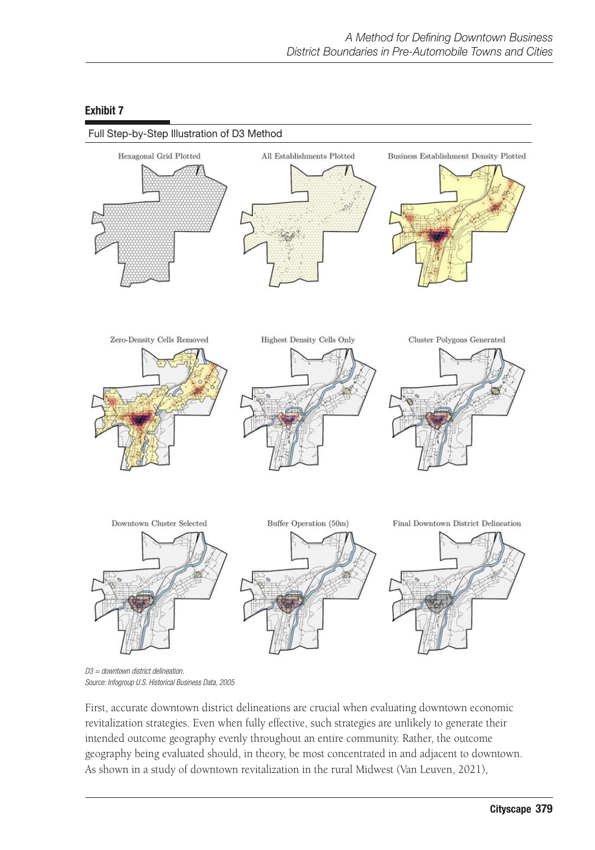

#### Exhibit 7

*D3 = downtown district delineation. Source: Infogroup U.S. Historical Business Data, 2005*

First, accurate downtown district delineations are crucial when evaluating downtown economic revitalization strategies. Even when fully effective, such strategies are unlikely to generate their intended outcome geography evenly throughout an entire community. Rather, the outcome geography being evaluated should, in theory, be most concentrated in and adjacent to downtown. As shown in a study of downtown revitalization in the rural Midwest (Van Leuven, 2021),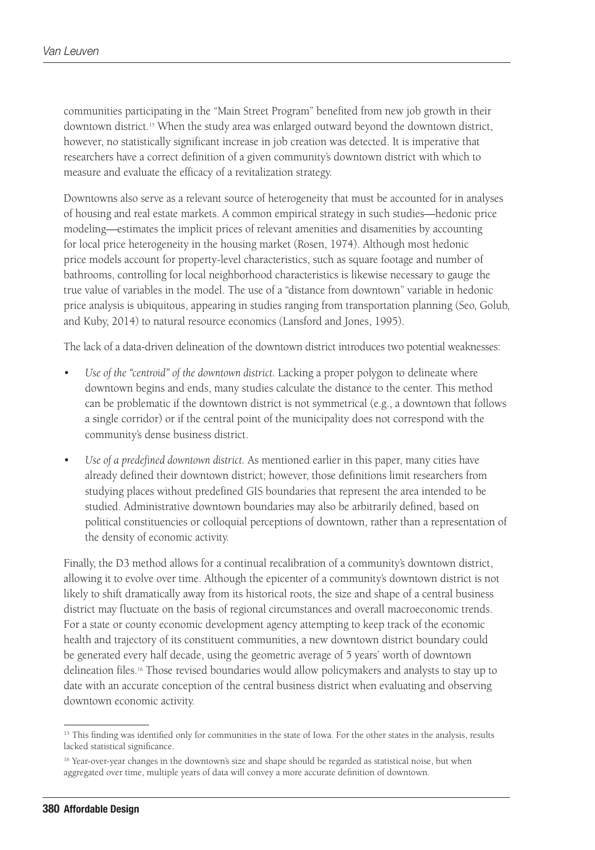communities participating in the "Main Street Program" benefited from new job growth in their downtown district.15 When the study area was enlarged outward beyond the downtown district, however, no statistically significant increase in job creation was detected. It is imperative that researchers have a correct definition of a given community's downtown district with which to measure and evaluate the efficacy of a revitalization strategy.

Downtowns also serve as a relevant source of heterogeneity that must be accounted for in analyses of housing and real estate markets. A common empirical strategy in such studies—hedonic price modeling—estimates the implicit prices of relevant amenities and disamenities by accounting for local price heterogeneity in the housing market (Rosen, 1974). Although most hedonic price models account for property-level characteristics, such as square footage and number of bathrooms, controlling for local neighborhood characteristics is likewise necessary to gauge the true value of variables in the model. The use of a "distance from downtown" variable in hedonic price analysis is ubiquitous, appearing in studies ranging from transportation planning (Seo, Golub, and Kuby, 2014) to natural resource economics (Lansford and Jones, 1995).

The lack of a data-driven delineation of the downtown district introduces two potential weaknesses:

- *Use of the "centroid" of the downtown district.* Lacking a proper polygon to delineate where downtown begins and ends, many studies calculate the distance to the center. This method can be problematic if the downtown district is not symmetrical (e.g., a downtown that follows a single corridor) or if the central point of the municipality does not correspond with the community's dense business district.
- *Use of a predefined downtown district.* As mentioned earlier in this paper, many cities have already defined their downtown district; however, those definitions limit researchers from studying places without predefined GIS boundaries that represent the area intended to be studied. Administrative downtown boundaries may also be arbitrarily defined, based on political constituencies or colloquial perceptions of downtown, rather than a representation of the density of economic activity.

Finally, the D3 method allows for a continual recalibration of a community's downtown district, allowing it to evolve over time. Although the epicenter of a community's downtown district is not likely to shift dramatically away from its historical roots, the size and shape of a central business district may fluctuate on the basis of regional circumstances and overall macroeconomic trends. For a state or county economic development agency attempting to keep track of the economic health and trajectory of its constituent communities, a new downtown district boundary could be generated every half decade, using the geometric average of 5 years' worth of downtown delineation files.16 Those revised boundaries would allow policymakers and analysts to stay up to date with an accurate conception of the central business district when evaluating and observing downtown economic activity.

<sup>&</sup>lt;sup>15</sup> This finding was identified only for communities in the state of Iowa. For the other states in the analysis, results lacked statistical significance.

<sup>&</sup>lt;sup>16</sup> Year-over-year changes in the downtown's size and shape should be regarded as statistical noise, but when aggregated over time, multiple years of data will convey a more accurate definition of downtown.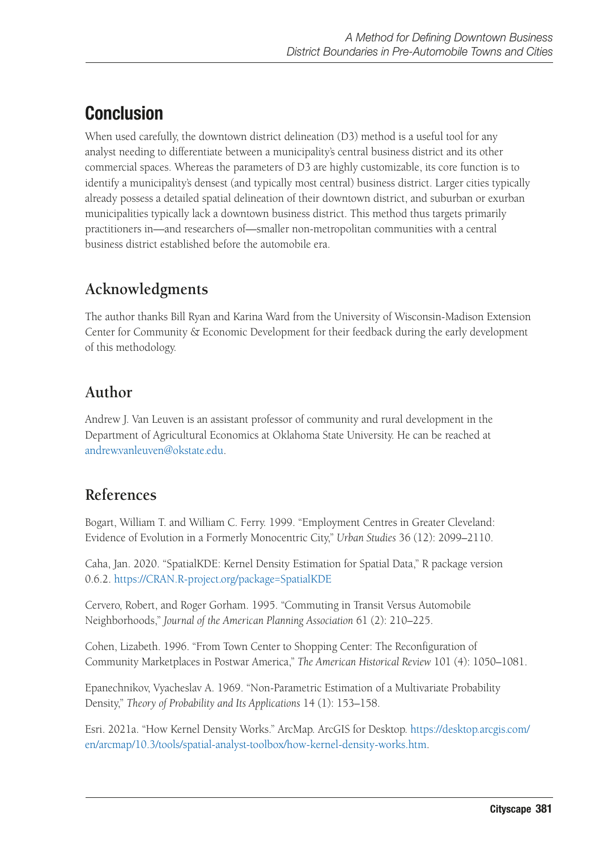# **Conclusion**

When used carefully, the downtown district delineation (D3) method is a useful tool for any analyst needing to differentiate between a municipality's central business district and its other commercial spaces. Whereas the parameters of D3 are highly customizable, its core function is to identify a municipality's densest (and typically most central) business district. Larger cities typically already possess a detailed spatial delineation of their downtown district, and suburban or exurban municipalities typically lack a downtown business district. This method thus targets primarily practitioners in—and researchers of—smaller non-metropolitan communities with a central business district established before the automobile era.

# **Acknowledgments**

The author thanks Bill Ryan and Karina Ward from the University of Wisconsin-Madison Extension Center for Community & Economic Development for their feedback during the early development of this methodology.

## **Author**

Andrew J. Van Leuven is an assistant professor of community and rural development in the Department of Agricultural Economics at Oklahoma State University. He can be reached at [andrew.vanleuven@okstate.edu](mailto:andrew.vanleuven@okstate.edu).

## **References**

Bogart, William T. and William C. Ferry. 1999. "Employment Centres in Greater Cleveland: Evidence of Evolution in a Formerly Monocentric City," *Urban Studies* 36 (12): 2099–2110.

Caha, Jan. 2020. "SpatialKDE: Kernel Density Estimation for Spatial Data," R package version 0.6.2. <https://CRAN.R-project.org/package=SpatialKDE>

Cervero, Robert, and Roger Gorham. 1995. "Commuting in Transit Versus Automobile Neighborhoods," *Journal of the American Planning Association* 61 (2): 210–225.

Cohen, Lizabeth. 1996. "From Town Center to Shopping Center: The Reconfiguration of Community Marketplaces in Postwar America," *The American Historical Review* 101 (4): 1050–1081.

Epanechnikov, Vyacheslav A. 1969. "Non-Parametric Estimation of a Multivariate Probability Density," *Theory of Probability and Its Applications* 14 (1): 153–158.

Esri. 2021a. "How Kernel Density Works." ArcMap. ArcGIS for Desktop. [https://desktop.arcgis.com/](https://desktop.arcgis.com/en/arcmap/10.3/tools/spatial-analyst-toolbox/how-kernel-density-works.htm) [en/arcmap/10.3/tools/spatial-analyst-toolbox/how-kernel-density-works.htm](https://desktop.arcgis.com/en/arcmap/10.3/tools/spatial-analyst-toolbox/how-kernel-density-works.htm).